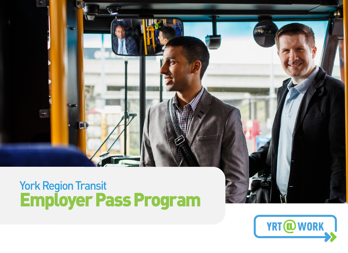# York Region Transit Employer Pass Program

×.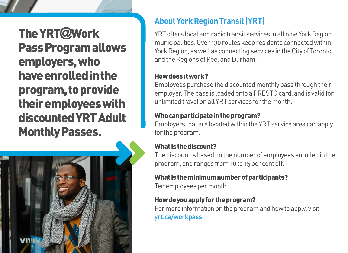The YRT**@**Work Pass Program allows employers, who have enrolled in the program, to provide their employees with discounted YRT Adult Monthly Passes.



## **About York Region Transit (YRT)**

YRT offers local and rapid transit services in all nine York Region municipalities. Over 130 routes keep residents connected within York Region, as well as connecting services in the City of Toronto and the Regions of Peel and Durham.

#### How does it work?

Employees purchase the discounted monthly pass through their employer. The pass is loaded onto a PRESTO card, and is valid for unlimited travel on all YRT services for the month.

#### Who can participate in the program?

Employers that are located within the YRT service area can apply for the program.

#### What is the discount?

The discount is based on the number of employees enrolled in the program, and ranges from 10 to 15 per cent off.

#### What is the minimum number of participants?

Ten employees per month.

#### How do you apply for the program?

For more information on the program and how to apply, visit yrt.ca/workpass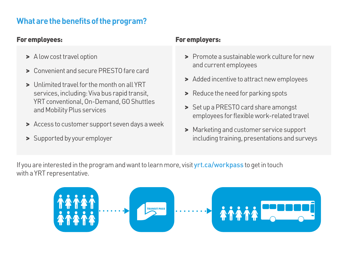### **What are the benefits of the program?**

#### For employees:

- > A low cost travel option
- > Convenient and secure PRESTO fare card
- > Unlimited travel for the month on all YRT services, including: Viva bus rapid transit, YRT conventional, On-Demand, GO Shuttles and Mobility Plus services
- > Access to customer support seven days a week
- > Supported by your employer

#### For employers:

- > Promote a sustainable work culture for new and current employees
- > Added incentive to attract new employees
- > Reduce the need for parking spots
- > Set up a PRESTO card share amongst employees for flexible work-related travel
- > Marketing and customer service support including training, presentations and surveys

If you are interested in the program and want to learn more, visit **yrt.ca/workpass to get in touch** with a YRT representative.